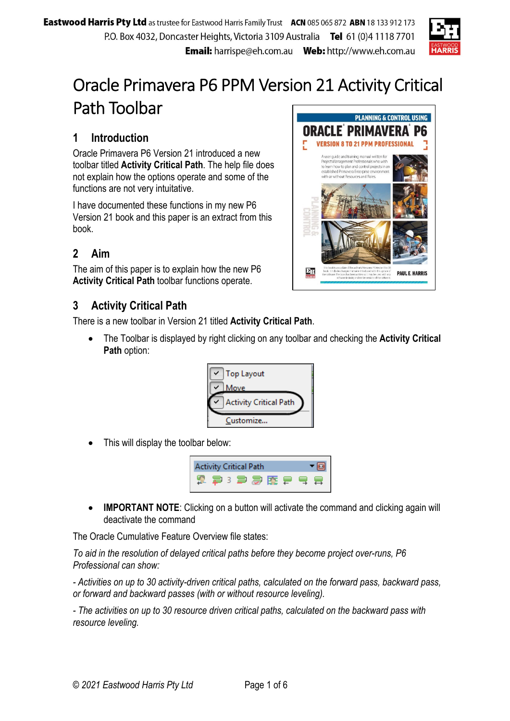

## Oracle Primavera P6 PPM Version 21 Activity Critical Path Toolbar

## **1 Introduction**

Oracle Primavera P6 Version 21 introduced a new toolbar titled **Activity Critical Path**. The help file does not explain how the options operate and some of the functions are not very intuitative.

I have documented these functions in my new P6 Version 21 book and this paper is an extract from this book.

## **2 Aim**

The aim of this paper is to explain how the new P6 **Activity Critical Path** toolbar functions operate.

## **3 Activity Critical Path**

There is a new toolbar in Version 21 titled **Activity Critical Path**.

 The Toolbar is displayed by right clicking on any toolbar and checking the **Activity Critical Path** option:



This will display the toolbar below:



**IMPORTANT NOTE:** Clicking on a button will activate the command and clicking again will deactivate the command

The Oracle Cumulative Feature Overview file states:

*To aid in the resolution of delayed critical paths before they become project over-runs, P6 Professional can show:* 

*- Activities on up to 30 activity-driven critical paths, calculated on the forward pass, backward pass, or forward and backward passes (with or without resource leveling).* 

*- The activities on up to 30 resource driven critical paths, calculated on the backward pass with resource leveling.* 

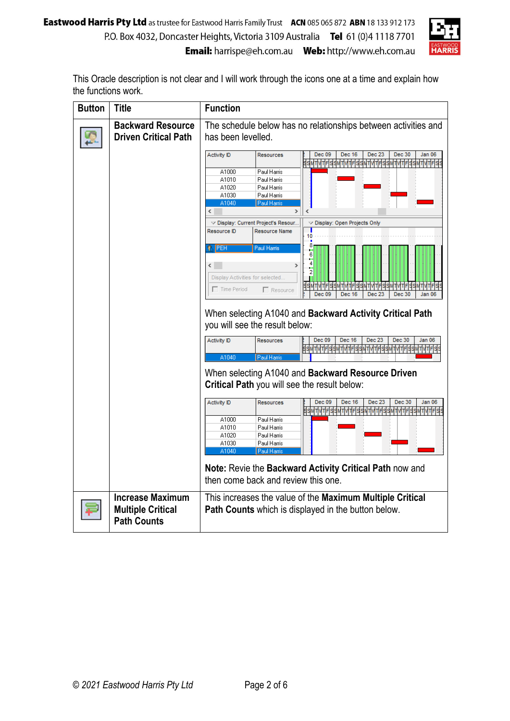

This Oracle description is not clear and I will work through the icons one at a time and explain how the functions work.

| <b>Button</b> | Title                                                                     | <b>Function</b>                                                                                                                                                                                                                                                                                      |  |  |  |  |  |  |  |  |  |
|---------------|---------------------------------------------------------------------------|------------------------------------------------------------------------------------------------------------------------------------------------------------------------------------------------------------------------------------------------------------------------------------------------------|--|--|--|--|--|--|--|--|--|
|               | <b>Backward Resource</b><br><b>Driven Critical Path</b>                   | The schedule below has no relationships between activities and<br>has been levelled.                                                                                                                                                                                                                 |  |  |  |  |  |  |  |  |  |
|               |                                                                           | Dec 09<br>Dec 16<br>Dec 23<br>Dec 30<br><b>Activity ID</b><br>Jan 06<br>Resources<br><u>sawi witelaawi witelaawi witelaawi witelaawi witelaa</u>                                                                                                                                                     |  |  |  |  |  |  |  |  |  |
|               |                                                                           | A1000<br>Paul Harris<br>A1010<br>Paul Harris<br>Paul Harris<br>A1020<br>A1030<br>Paul Harris                                                                                                                                                                                                         |  |  |  |  |  |  |  |  |  |
|               |                                                                           | A1040<br>Paul Harris<br>∢<br>∢                                                                                                                                                                                                                                                                       |  |  |  |  |  |  |  |  |  |
|               |                                                                           | $\triangledown$ Display: Current Project's Resour<br>$\triangledown$ Display: Open Projects Only<br>Resource ID<br><b>Resource Name</b><br>10                                                                                                                                                        |  |  |  |  |  |  |  |  |  |
|               |                                                                           | PEH<br>Paul Hamis<br>r<br>6<br>⋖∣<br>2<br>Display Activities for selected.<br>$\Box$ Time Period<br>$\Box$ Resource<br><b>Dec 09</b><br>Dec 30<br>Dec 16<br>Dec 23<br>Jan 06                                                                                                                         |  |  |  |  |  |  |  |  |  |
|               |                                                                           | When selecting A1040 and Backward Activity Critical Path<br>you will see the result below:                                                                                                                                                                                                           |  |  |  |  |  |  |  |  |  |
|               |                                                                           | Dec 09<br>Dec 23<br>Dec 30<br>Dec 16<br>Jan 06<br><b>Activity ID</b><br>Resources<br><u>идицыаамдицыа</u><br><u> Измаицка арандарды</u><br>A1040<br>Paul Harris                                                                                                                                      |  |  |  |  |  |  |  |  |  |
|               |                                                                           | When selecting A1040 and Backward Resource Driven<br>Critical Path you will see the result below:                                                                                                                                                                                                    |  |  |  |  |  |  |  |  |  |
|               |                                                                           | Dec 23<br>Dec 30<br>Dec 09<br>Dec 16<br>Jan 06<br><b>Activity ID</b><br>Resources<br><u> इञ्जनपत्रनिर्ववर्षे पर्वतनिर्ववर्षे पर्वतनिर्ववर्षे पर्वतनिर्ववर्षे पर्वतनिर्वव</u><br>A1000<br>Paul Harris<br>A1010<br>Paul Harris<br>A1020<br>Paul Harris<br>A1030<br>Paul Harris<br>A1040<br>Paul Harris |  |  |  |  |  |  |  |  |  |
|               |                                                                           | Note: Revie the Backward Activity Critical Path now and<br>then come back and review this one.                                                                                                                                                                                                       |  |  |  |  |  |  |  |  |  |
|               | <b>Increase Maximum</b><br><b>Multiple Critical</b><br><b>Path Counts</b> | This increases the value of the Maximum Multiple Critical<br><b>Path Counts</b> which is displayed in the button below.                                                                                                                                                                              |  |  |  |  |  |  |  |  |  |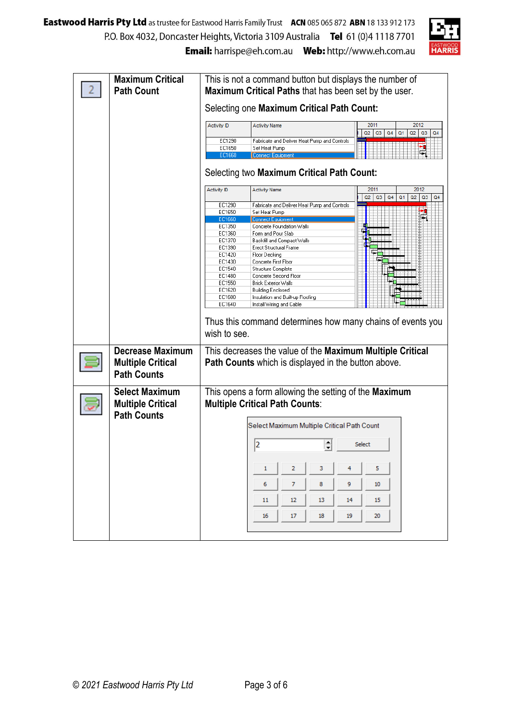

| <b>Maximum Critical</b>  | This is not a command button but displays the number of                                                                                  |  |  |  |  |  |  |  |  |
|--------------------------|------------------------------------------------------------------------------------------------------------------------------------------|--|--|--|--|--|--|--|--|
| <b>Path Count</b>        | Maximum Critical Paths that has been set by the user.                                                                                    |  |  |  |  |  |  |  |  |
|                          | Selecting one Maximum Critical Path Count:                                                                                               |  |  |  |  |  |  |  |  |
|                          |                                                                                                                                          |  |  |  |  |  |  |  |  |
|                          | 2012<br>2011<br><b>Activity ID</b><br><b>Activity Name</b><br>Q2<br>Q3<br>Q <sub>4</sub><br>Q <sub>1</sub><br>Q2<br>Q3<br>Q <sub>4</sub> |  |  |  |  |  |  |  |  |
|                          | EC1290<br>Fabricate and Deliver Heat Pump and Controls                                                                                   |  |  |  |  |  |  |  |  |
|                          | EC1650<br>Set Heat Pump<br>EC1660<br>Connect Equipmen                                                                                    |  |  |  |  |  |  |  |  |
|                          |                                                                                                                                          |  |  |  |  |  |  |  |  |
|                          | Selecting two Maximum Critical Path Count:                                                                                               |  |  |  |  |  |  |  |  |
|                          | 2012<br><b>Activity ID</b><br><b>Activity Name</b><br>2011<br>Q <sub>2</sub><br>Q3<br>Q <sub>4</sub><br>Q <sub>1</sub><br>Q2<br>Q3<br>Q4 |  |  |  |  |  |  |  |  |
|                          | Fabricate and Deliver Heat Pump and Controls<br>EC1290                                                                                   |  |  |  |  |  |  |  |  |
|                          | EC1650<br>Set Heat Pump<br>EC1660<br>Connect Equipment                                                                                   |  |  |  |  |  |  |  |  |
|                          | Concrete Foundation Walls<br>EC1350                                                                                                      |  |  |  |  |  |  |  |  |
|                          | EC1360<br>Form and Pour Slab                                                                                                             |  |  |  |  |  |  |  |  |
|                          | EC1370<br>Backfill and Compact Walls<br>EC1390<br><b>Erect Structural Frame</b>                                                          |  |  |  |  |  |  |  |  |
|                          | EC1420<br>Floor Decking                                                                                                                  |  |  |  |  |  |  |  |  |
|                          | EC1430<br>Concrete First Floor                                                                                                           |  |  |  |  |  |  |  |  |
|                          | EC1540<br>Structure Complete<br>EC1480<br>Concrete Second Floor                                                                          |  |  |  |  |  |  |  |  |
|                          | EC1550<br><b>Brick Exterior Walls</b>                                                                                                    |  |  |  |  |  |  |  |  |
|                          | EC1620<br><b>Building Enclosed</b>                                                                                                       |  |  |  |  |  |  |  |  |
|                          | EC1600<br>Insulation and Built-up Roofing<br>EC1640<br>Install Wiring and Cable                                                          |  |  |  |  |  |  |  |  |
|                          |                                                                                                                                          |  |  |  |  |  |  |  |  |
|                          | Thus this command determines how many chains of events you                                                                               |  |  |  |  |  |  |  |  |
|                          | wish to see.                                                                                                                             |  |  |  |  |  |  |  |  |
| <b>Decrease Maximum</b>  | This decreases the value of the Maximum Multiple Critical                                                                                |  |  |  |  |  |  |  |  |
| <b>Multiple Critical</b> | <b>Path Counts</b> which is displayed in the button above.                                                                               |  |  |  |  |  |  |  |  |
| <b>Path Counts</b>       |                                                                                                                                          |  |  |  |  |  |  |  |  |
|                          |                                                                                                                                          |  |  |  |  |  |  |  |  |
| <b>Select Maximum</b>    | This opens a form allowing the setting of the Maximum                                                                                    |  |  |  |  |  |  |  |  |
| <b>Multiple Critical</b> | <b>Multiple Critical Path Counts:</b>                                                                                                    |  |  |  |  |  |  |  |  |
| <b>Path Counts</b>       | Select Maximum Multiple Critical Path Count                                                                                              |  |  |  |  |  |  |  |  |
|                          |                                                                                                                                          |  |  |  |  |  |  |  |  |
|                          | 2<br>Select                                                                                                                              |  |  |  |  |  |  |  |  |
|                          |                                                                                                                                          |  |  |  |  |  |  |  |  |
|                          | 5<br>1<br>2<br>3<br>4                                                                                                                    |  |  |  |  |  |  |  |  |
|                          | 7<br>8<br>9<br>6<br>10                                                                                                                   |  |  |  |  |  |  |  |  |
|                          | 12 <sup>°</sup><br>14<br>15<br>11<br>13                                                                                                  |  |  |  |  |  |  |  |  |
|                          | 17<br>18<br>19<br>20<br>16                                                                                                               |  |  |  |  |  |  |  |  |
|                          |                                                                                                                                          |  |  |  |  |  |  |  |  |
|                          |                                                                                                                                          |  |  |  |  |  |  |  |  |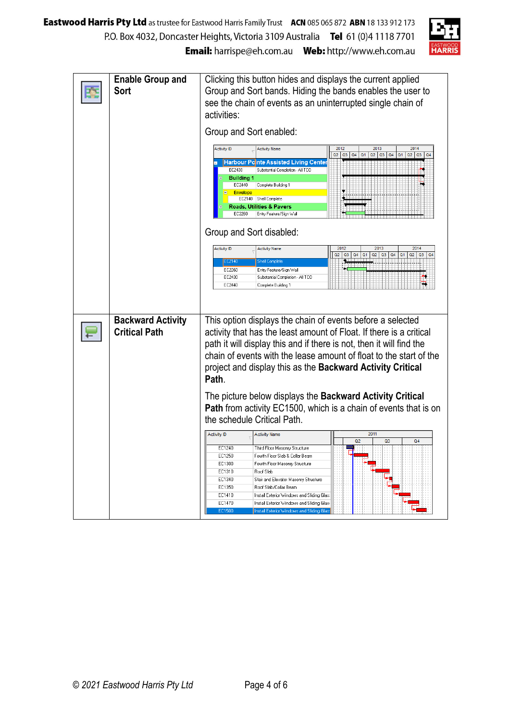

| <b>Enable Group and</b><br>Sort                  | Clicking this button hides and displays the current applied<br>Group and Sort bands. Hiding the bands enables the user to<br>see the chain of events as an uninterrupted single chain of<br>activities:                                                                                                                                                                                                                                                                                                              |  |  |  |  |  |  |  |  |
|--------------------------------------------------|----------------------------------------------------------------------------------------------------------------------------------------------------------------------------------------------------------------------------------------------------------------------------------------------------------------------------------------------------------------------------------------------------------------------------------------------------------------------------------------------------------------------|--|--|--|--|--|--|--|--|
|                                                  | Group and Sort enabled:                                                                                                                                                                                                                                                                                                                                                                                                                                                                                              |  |  |  |  |  |  |  |  |
|                                                  | 2012<br>2013<br>2014<br><b>Activity ID</b><br><b>Activity Name</b><br>$Q2$ $Q3$ $Q4$<br>Q2 Q3 Q4<br>Q <sub>1</sub><br>Q <sub>2</sub><br>Q3<br>Q <sub>1</sub><br>Q <sub>4</sub><br><b>Harbour Pointe Assisted Living Center</b><br>Substantial Completion - All TCO<br>EC2430<br><b>Building 1</b><br>EC2440<br>Complete Building 1<br><b>Envelope</b><br>EC2140 Shell Complete<br>Roads, Utilities & Pavers<br>EC2260<br>Entry Feature/Sign Wall                                                                     |  |  |  |  |  |  |  |  |
|                                                  | Group and Sort disabled:                                                                                                                                                                                                                                                                                                                                                                                                                                                                                             |  |  |  |  |  |  |  |  |
|                                                  | 2013<br>2014<br>2012<br>Activity ID<br><b>Activity Name</b><br>Q2<br>$Q3$ $Q4$<br>Q <sub>1</sub><br>Q2<br>Q3<br>Q4<br>Q1<br>Q2<br>Q3<br>Q <sub>4</sub><br>EC2140<br><b>Shell Complete</b><br>EC2260<br>Entry Feature/Sign Wall<br>EC2430<br>Substantial Completion - All TCO<br>EC2440<br>Complete Building 1                                                                                                                                                                                                        |  |  |  |  |  |  |  |  |
| <b>Backward Activity</b><br><b>Critical Path</b> | This option displays the chain of events before a selected<br>activity that has the least amount of Float. If there is a critical<br>path it will display this and if there is not, then it will find the<br>chain of events with the lease amount of float to the start of the<br>project and display this as the Backward Activity Critical<br>Path.                                                                                                                                                               |  |  |  |  |  |  |  |  |
|                                                  | The picture below displays the Backward Activity Critical<br><b>Path</b> from activity EC1500, which is a chain of events that is on<br>the schedule Critical Path.                                                                                                                                                                                                                                                                                                                                                  |  |  |  |  |  |  |  |  |
|                                                  | 2011<br><b>Activity ID</b><br><b>Activity Name</b><br>Q <sub>2</sub><br>Q <sub>3</sub><br>Q4<br>EC1240<br>Third Floor Masonry Structure<br>EC1250<br>Fourth Floor Slab & Collar Beam<br>EC1300<br>Fourth Floor Masonry Structure<br>EC1310<br>Roof Slab<br>EC1340<br>Stair and Elevator Masonry Structure<br>EC1350<br>Roof Slab/Collar Beam<br>EC1410<br>Install Exterior Windows and Sliding Glas:<br>Install Exterior Windows and Sliding Glas:<br>EC1470<br>EC1500<br>Install Exterior Windows and Sliding Glas: |  |  |  |  |  |  |  |  |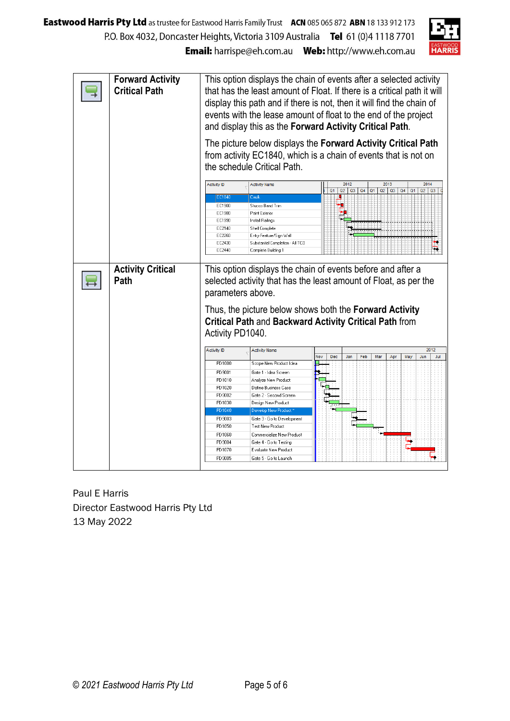

| <b>Forward Activity</b><br><b>Critical Path</b> | This option displays the chain of events after a selected activity<br>that has the least amount of Float. If there is a critical path it will<br>display this path and if there is not, then it will find the chain of<br>events with the lease amount of float to the end of the project<br>and display this as the Forward Activity Critical Path.<br>The picture below displays the Forward Activity Critical Path<br>from activity EC1840, which is a chain of events that is not on<br>the schedule Critical Path. |                                                                                                                                                                                                 |     |                |                  |     |                      |            |                      |                   |      |
|-------------------------------------------------|-------------------------------------------------------------------------------------------------------------------------------------------------------------------------------------------------------------------------------------------------------------------------------------------------------------------------------------------------------------------------------------------------------------------------------------------------------------------------------------------------------------------------|-------------------------------------------------------------------------------------------------------------------------------------------------------------------------------------------------|-----|----------------|------------------|-----|----------------------|------------|----------------------|-------------------|------|
|                                                 | <b>Activity ID</b><br>EC1840<br>EC1900<br>EC1980<br>EC1990<br>EC2140<br>EC2260<br>EC2430<br>EC2440                                                                                                                                                                                                                                                                                                                                                                                                                      | <b>Activity Name</b><br>Caulk<br>Stucco Band Trim<br>Paint Exterior<br>Install Railings<br>Shell Complete<br>Entry Feature/Sign Wall<br>Substantial Completion - All TCO<br>Complete Building 1 |     | Q <sub>1</sub> | 2012<br>Q2<br>Q3 | Q4  | Q2<br>Q <sub>1</sub> | 2013<br>Q3 | Q4<br>Q <sub>1</sub> | 2014<br>$Q2$ $Q3$ |      |
| <b>Activity Critical</b><br>Path                | This option displays the chain of events before and after a<br>selected activity that has the least amount of Float, as per the<br>parameters above.<br>Thus, the picture below shows both the Forward Activity<br><b>Critical Path and Backward Activity Critical Path from</b><br>Activity PD1040.                                                                                                                                                                                                                    |                                                                                                                                                                                                 |     |                |                  |     |                      |            |                      |                   |      |
|                                                 | <b>Activity ID</b>                                                                                                                                                                                                                                                                                                                                                                                                                                                                                                      | Activity Name                                                                                                                                                                                   |     |                |                  |     |                      |            |                      |                   | 2012 |
|                                                 |                                                                                                                                                                                                                                                                                                                                                                                                                                                                                                                         |                                                                                                                                                                                                 | Nov | Dec            | Jan              | Feb | Mar                  | Apr        | May                  | Jun               | Jul  |
|                                                 | PD1000                                                                                                                                                                                                                                                                                                                                                                                                                                                                                                                  | Scope New Product Idea                                                                                                                                                                          |     |                |                  |     |                      |            |                      |                   |      |
|                                                 | PD9001                                                                                                                                                                                                                                                                                                                                                                                                                                                                                                                  | Gate 1 - Idea Screen                                                                                                                                                                            |     |                |                  |     |                      |            |                      |                   |      |
|                                                 | PD1010<br>PD1020                                                                                                                                                                                                                                                                                                                                                                                                                                                                                                        | Analyze New Product<br>Define Business Case                                                                                                                                                     |     |                |                  |     |                      |            |                      |                   |      |
|                                                 | PD9002                                                                                                                                                                                                                                                                                                                                                                                                                                                                                                                  | Gate 2 - Second Screen                                                                                                                                                                          |     |                |                  |     |                      |            |                      |                   |      |
|                                                 | PD1030                                                                                                                                                                                                                                                                                                                                                                                                                                                                                                                  | Design New Product                                                                                                                                                                              |     |                |                  |     |                      |            |                      |                   |      |
|                                                 | PD1040                                                                                                                                                                                                                                                                                                                                                                                                                                                                                                                  | Develop New Product?                                                                                                                                                                            |     |                |                  |     |                      |            |                      |                   |      |
|                                                 | PD9003                                                                                                                                                                                                                                                                                                                                                                                                                                                                                                                  | Gate 3 - Go to Development                                                                                                                                                                      |     |                |                  |     |                      |            |                      |                   |      |
|                                                 | PD1050                                                                                                                                                                                                                                                                                                                                                                                                                                                                                                                  | Test New Product                                                                                                                                                                                |     |                |                  |     |                      |            |                      |                   |      |
|                                                 | PD1060                                                                                                                                                                                                                                                                                                                                                                                                                                                                                                                  | Commercialize New Product                                                                                                                                                                       |     |                |                  |     |                      |            |                      |                   |      |
|                                                 | PD9004                                                                                                                                                                                                                                                                                                                                                                                                                                                                                                                  | Gate 4 - Go to Testing                                                                                                                                                                          |     |                |                  |     |                      |            |                      |                   |      |
|                                                 |                                                                                                                                                                                                                                                                                                                                                                                                                                                                                                                         |                                                                                                                                                                                                 |     |                |                  |     |                      |            |                      |                   |      |
|                                                 | PD1070<br>PD9005                                                                                                                                                                                                                                                                                                                                                                                                                                                                                                        | Evaluate New Product<br>Gate 5 - Go to Launch                                                                                                                                                   |     |                |                  |     |                      |            |                      |                   |      |

Paul E Harris Director Eastwood Harris Pty Ltd 13 May 2022